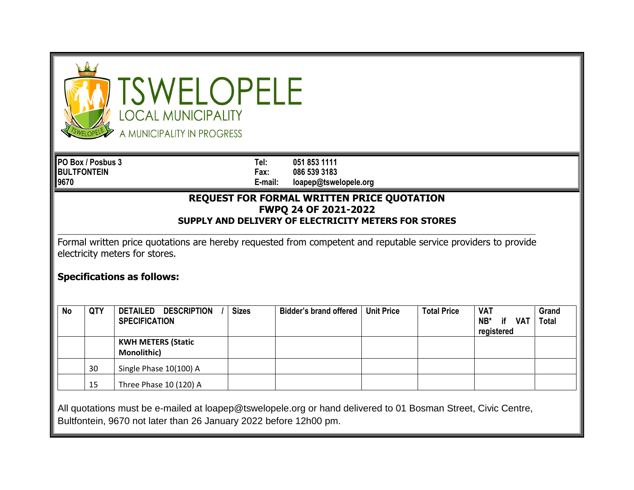|           |                    | <b>TSWELOPELE</b><br><b>OCAL MUNICIPALITY</b><br>A MUNICIPALITY IN PROGRESS                                                                                                           |                 |                                                                              |                   |                    |                                              |                              |
|-----------|--------------------|---------------------------------------------------------------------------------------------------------------------------------------------------------------------------------------|-----------------|------------------------------------------------------------------------------|-------------------|--------------------|----------------------------------------------|------------------------------|
|           | PO Box / Posbus 3  |                                                                                                                                                                                       | Tel:            | 051 853 1111                                                                 |                   |                    |                                              |                              |
| 9670      | <b>BULTFONTEIN</b> |                                                                                                                                                                                       | Fax:<br>E-mail: | 086 539 3183                                                                 |                   |                    |                                              |                              |
|           |                    |                                                                                                                                                                                       |                 | loapep@tswelopele.org<br>REQUEST FOR FORMAL WRITTEN PRICE QUOTATION          |                   |                    |                                              |                              |
|           |                    |                                                                                                                                                                                       |                 | FWPQ 24 OF 2021-2022<br>SUPPLY AND DELIVERY OF ELECTRICITY METERS FOR STORES |                   |                    |                                              |                              |
|           |                    | Formal written price quotations are hereby requested from competent and reputable service providers to provide<br>electricity meters for stores.<br><b>Specifications as follows:</b> |                 |                                                                              |                   |                    |                                              |                              |
| <b>No</b> | QTY                | DETAILED DESCRIPTION<br><b>SPECIFICATION</b>                                                                                                                                          | <b>Sizes</b>    | <b>Bidder's brand offered</b>                                                | <b>Unit Price</b> | <b>Total Price</b> | <b>VAT</b><br>$NB^*$<br>if VAT<br>registered | <b>Grand</b><br><b>Total</b> |
|           |                    | <b>KWH METERS (Static</b><br>Monolithic)                                                                                                                                              |                 |                                                                              |                   |                    |                                              |                              |
|           | 30                 | Single Phase 10(100) A                                                                                                                                                                |                 |                                                                              |                   |                    |                                              |                              |

Bultfontein, 9670 not later than 26 January 2022 before 12h00 pm.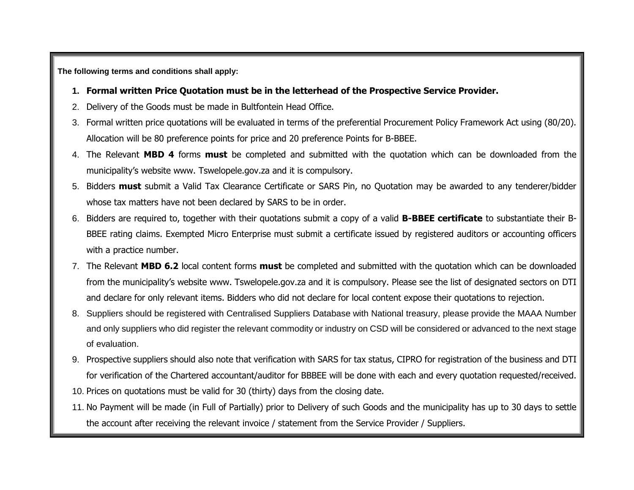**The following terms and conditions shall apply:**

- **1. Formal written Price Quotation must be in the letterhead of the Prospective Service Provider.**
- 2. Delivery of the Goods must be made in Bultfontein Head Office.
- 3. Formal written price quotations will be evaluated in terms of the preferential Procurement Policy Framework Act using (80/20). Allocation will be 80 preference points for price and 20 preference Points for B-BBEE.
- 4. The Relevant **MBD 4** forms **must** be completed and submitted with the quotation which can be downloaded from the municipality's website www. Tswelopele.gov.za and it is compulsory.
- 5. Bidders **must** submit a Valid Tax Clearance Certificate or SARS Pin, no Quotation may be awarded to any tenderer/bidder whose tax matters have not been declared by SARS to be in order.
- 6. Bidders are required to, together with their quotations submit a copy of a valid **B-BBEE certificate** to substantiate their B-BBEE rating claims. Exempted Micro Enterprise must submit a certificate issued by registered auditors or accounting officers with a practice number.
- 7. The Relevant **MBD 6.2** local content forms **must** be completed and submitted with the quotation which can be downloaded from the municipality's website www. Tswelopele.gov.za and it is compulsory. Please see the list of designated sectors on DTI and declare for only relevant items. Bidders who did not declare for local content expose their quotations to rejection.
- 8. Suppliers should be registered with Centralised Suppliers Database with National treasury, please provide the MAAA Number and only suppliers who did register the relevant commodity or industry on CSD will be considered or advanced to the next stage of evaluation.
- 9. Prospective suppliers should also note that verification with SARS for tax status, CIPRO for registration of the business and DTI for verification of the Chartered accountant/auditor for BBBEE will be done with each and every quotation requested/received.
- 10. Prices on quotations must be valid for 30 (thirty) days from the closing date.
- 11. No Payment will be made (in Full of Partially) prior to Delivery of such Goods and the municipality has up to 30 days to settle the account after receiving the relevant invoice / statement from the Service Provider / Suppliers.